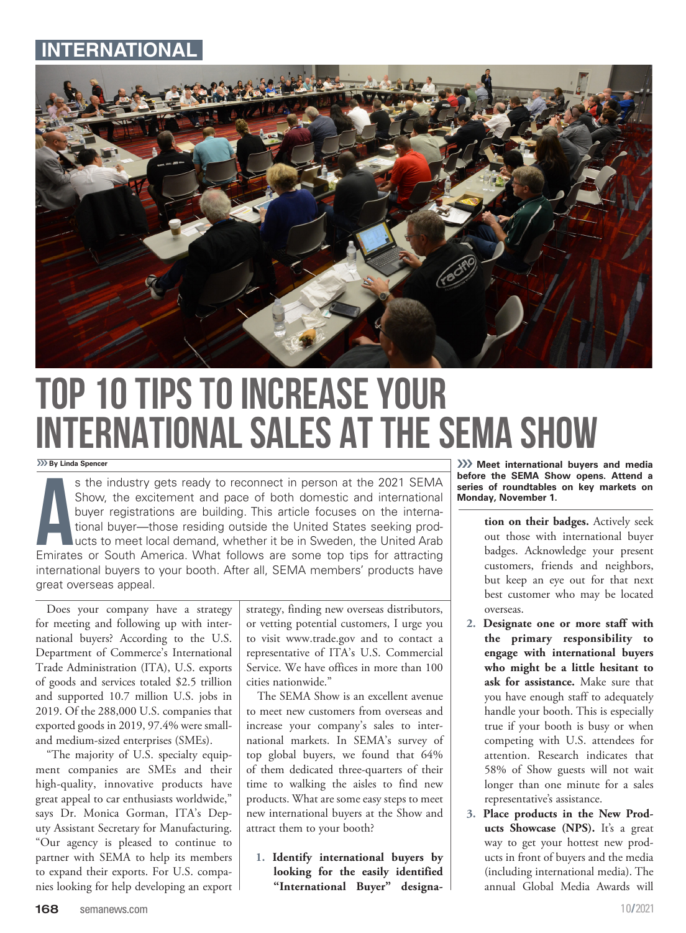## **ERNATIO**



## Top 10 Tips to Increase Your International Sales at the SEMA Show

››› **By Linda Spencer**

S the industry gets ready to reconnect in person at the 2021 SEMA<br>Show, the excitement and pace of both domestic and international<br>buyer registrations are building. This article focuses on the interna-<br>tional buyer—those r s the industry gets ready to reconnect in person at the 2021 SEMA Show, the excitement and pace of both domestic and international buyer registrations are building. This article focuses on the international buyer—those residing outside the United States seeking products to meet local demand, whether it be in Sweden, the United Arab international buyers to your booth. After all, SEMA members' products have great overseas appeal.

Does your company have a strategy for meeting and following up with international buyers? According to the U.S. Department of Commerce's International Trade Administration (ITA), U.S. exports of goods and services totaled \$2.5 trillion and supported 10.7 million U.S. jobs in 2019. Of the 288,000 U.S. companies that exported goods in 2019, 97.4% were smalland medium-sized enterprises (SMEs).

"The majority of U.S. specialty equipment companies are SMEs and their high-quality, innovative products have great appeal to car enthusiasts worldwide," says Dr. Monica Gorman, ITA's Deputy Assistant Secretary for Manufacturing. "Our agency is pleased to continue to partner with SEMA to help its members to expand their exports. For U.S. companies looking for help developing an export strategy, finding new overseas distributors, or vetting potential customers, I urge you to visit www.trade.gov and to contact a representative of ITA's U.S. Commercial Service. We have offices in more than 100 cities nationwide."

The SEMA Show is an excellent avenue to meet new customers from overseas and increase your company's sales to international markets. In SEMA's survey of top global buyers, we found that 64% of them dedicated three-quarters of their time to walking the aisles to find new products. What are some easy steps to meet new international buyers at the Show and attract them to your booth?

**1. Identify international buyers by looking for the easily identified "International Buyer" designa-**

››› **Meet international buyers and media before the SEMA Show opens. Attend a series of roundtables on key markets on Monday, November 1.**

- **tion on their badges.** Actively seek out those with international buyer badges. Acknowledge your present customers, friends and neighbors, but keep an eye out for that next best customer who may be located overseas.
- **2. Designate one or more staff with the primary responsibility to engage with international buyers who might be a little hesitant to ask for assistance.** Make sure that you have enough staff to adequately handle your booth. This is especially true if your booth is busy or when competing with U.S. attendees for attention. Research indicates that 58% of Show guests will not wait longer than one minute for a sales representative's assistance.
- **3. Place products in the New Products Showcase (NPS).** It's a great way to get your hottest new products in front of buyers and the media (including international media). The annual Global Media Awards will